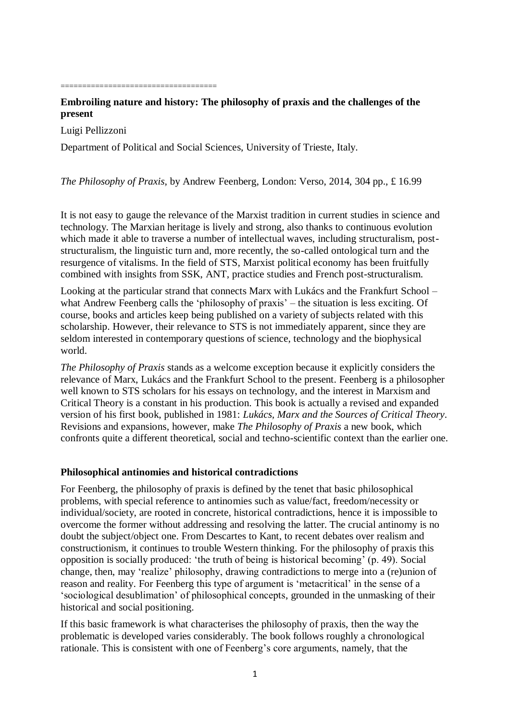====================================

# **Embroiling nature and history: The philosophy of praxis and the challenges of the present**

Luigi Pellizzoni

Department of Political and Social Sciences, University of Trieste, Italy.

*The Philosophy of Praxis*, by Andrew Feenberg, London: Verso, 2014, 304 pp., £ 16.99

It is not easy to gauge the relevance of the Marxist tradition in current studies in science and technology. The Marxian heritage is lively and strong, also thanks to continuous evolution which made it able to traverse a number of intellectual waves, including structuralism, poststructuralism, the linguistic turn and, more recently, the so-called ontological turn and the resurgence of vitalisms. In the field of STS, Marxist political economy has been fruitfully combined with insights from SSK, ANT, practice studies and French post-structuralism.

Looking at the particular strand that connects Marx with Lukács and the Frankfurt School – what Andrew Feenberg calls the 'philosophy of praxis' – the situation is less exciting. Of course, books and articles keep being published on a variety of subjects related with this scholarship. However, their relevance to STS is not immediately apparent, since they are seldom interested in contemporary questions of science, technology and the biophysical world.

*The Philosophy of Praxis* stands as a welcome exception because it explicitly considers the relevance of Marx, Lukács and the Frankfurt School to the present. Feenberg is a philosopher well known to STS scholars for his essays on technology, and the interest in Marxism and Critical Theory is a constant in his production. This book is actually a revised and expanded version of his first book, published in 1981: *Lukács, Marx and the Sources of Critical Theory*. Revisions and expansions, however, make *The Philosophy of Praxis* a new book, which confronts quite a different theoretical, social and techno-scientific context than the earlier one.

# **Philosophical antinomies and historical contradictions**

For Feenberg, the philosophy of praxis is defined by the tenet that basic philosophical problems, with special reference to antinomies such as value/fact, freedom/necessity or individual/society, are rooted in concrete, historical contradictions, hence it is impossible to overcome the former without addressing and resolving the latter. The crucial antinomy is no doubt the subject/object one. From Descartes to Kant, to recent debates over realism and constructionism, it continues to trouble Western thinking. For the philosophy of praxis this opposition is socially produced: 'the truth of being is historical becoming' (p. 49). Social change, then, may 'realize' philosophy, drawing contradictions to merge into a (re)union of reason and reality. For Feenberg this type of argument is 'metacritical' in the sense of a 'sociological desublimation' of philosophical concepts, grounded in the unmasking of their historical and social positioning.

If this basic framework is what characterises the philosophy of praxis, then the way the problematic is developed varies considerably. The book follows roughly a chronological rationale. This is consistent with one of Feenberg's core arguments, namely, that the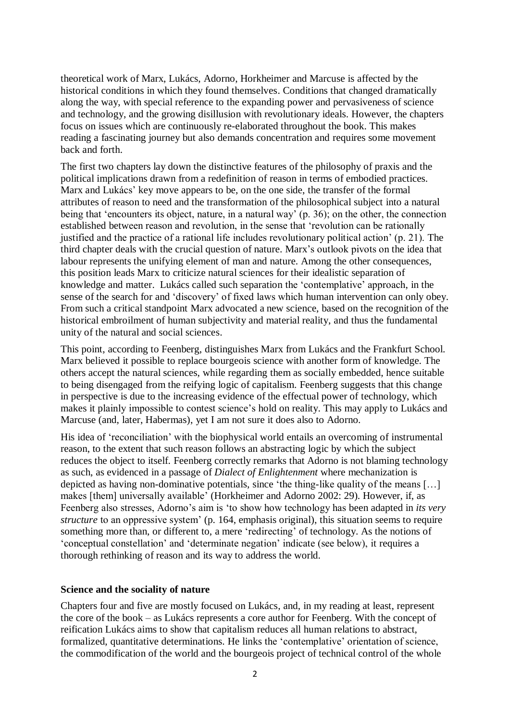theoretical work of Marx, Lukács, Adorno, Horkheimer and Marcuse is affected by the historical conditions in which they found themselves. Conditions that changed dramatically along the way, with special reference to the expanding power and pervasiveness of science and technology, and the growing disillusion with revolutionary ideals. However, the chapters focus on issues which are continuously re-elaborated throughout the book. This makes reading a fascinating journey but also demands concentration and requires some movement back and forth.

The first two chapters lay down the distinctive features of the philosophy of praxis and the political implications drawn from a redefinition of reason in terms of embodied practices. Marx and Lukács' key move appears to be, on the one side, the transfer of the formal attributes of reason to need and the transformation of the philosophical subject into a natural being that 'encounters its object, nature, in a natural way' (p. 36); on the other, the connection established between reason and revolution, in the sense that 'revolution can be rationally justified and the practice of a rational life includes revolutionary political action' (p. 21). The third chapter deals with the crucial question of nature. Marx's outlook pivots on the idea that labour represents the unifying element of man and nature. Among the other consequences, this position leads Marx to criticize natural sciences for their idealistic separation of knowledge and matter. Lukács called such separation the 'contemplative' approach, in the sense of the search for and 'discovery' of fixed laws which human intervention can only obey. From such a critical standpoint Marx advocated a new science, based on the recognition of the historical embroilment of human subjectivity and material reality, and thus the fundamental unity of the natural and social sciences.

This point, according to Feenberg, distinguishes Marx from Lukács and the Frankfurt School. Marx believed it possible to replace bourgeois science with another form of knowledge. The others accept the natural sciences, while regarding them as socially embedded, hence suitable to being disengaged from the reifying logic of capitalism. Feenberg suggests that this change in perspective is due to the increasing evidence of the effectual power of technology, which makes it plainly impossible to contest science's hold on reality. This may apply to Lukács and Marcuse (and, later, Habermas), yet I am not sure it does also to Adorno.

His idea of 'reconciliation' with the biophysical world entails an overcoming of instrumental reason, to the extent that such reason follows an abstracting logic by which the subject reduces the object to itself. Feenberg correctly remarks that Adorno is not blaming technology as such, as evidenced in a passage of *Dialect of Enlightenment* where mechanization is depicted as having non-dominative potentials, since 'the thing-like quality of the means […] makes [them] universally available' (Horkheimer and Adorno 2002: 29). However, if, as Feenberg also stresses, Adorno's aim is 'to show how technology has been adapted in *its very structure* to an oppressive system' (p. 164, emphasis original), this situation seems to require something more than, or different to, a mere 'redirecting' of technology. As the notions of 'conceptual constellation' and 'determinate negation' indicate (see below), it requires a thorough rethinking of reason and its way to address the world.

#### **Science and the sociality of nature**

Chapters four and five are mostly focused on Lukács, and, in my reading at least, represent the core of the book – as Lukács represents a core author for Feenberg. With the concept of reification Lukács aims to show that capitalism reduces all human relations to abstract, formalized, quantitative determinations. He links the 'contemplative' orientation of science, the commodification of the world and the bourgeois project of technical control of the whole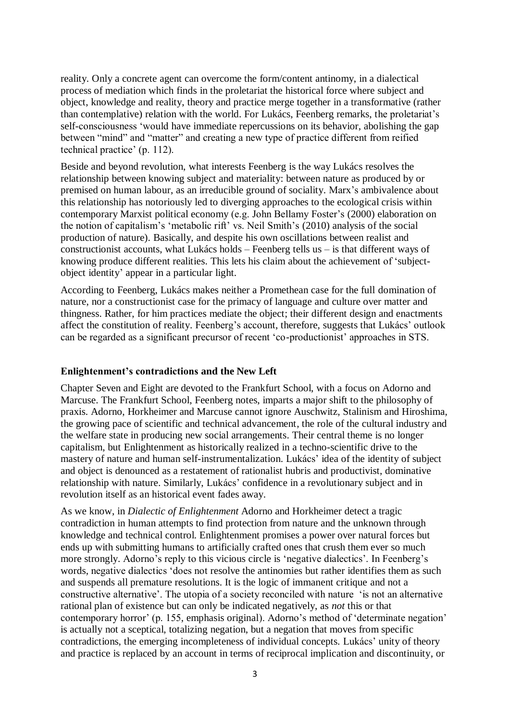reality. Only a concrete agent can overcome the form/content antinomy, in a dialectical process of mediation which finds in the proletariat the historical force where subject and object, knowledge and reality, theory and practice merge together in a transformative (rather than contemplative) relation with the world. For Lukács, Feenberg remarks, the proletariat's self-consciousness 'would have immediate repercussions on its behavior, abolishing the gap between "mind" and "matter" and creating a new type of practice different from reified technical practice' (p. 112).

Beside and beyond revolution, what interests Feenberg is the way Lukács resolves the relationship between knowing subject and materiality: between nature as produced by or premised on human labour, as an irreducible ground of sociality. Marx's ambivalence about this relationship has notoriously led to diverging approaches to the ecological crisis within contemporary Marxist political economy (e.g. John Bellamy Foster's (2000) elaboration on the notion of capitalism's 'metabolic rift' vs. Neil Smith's (2010) analysis of the social production of nature). Basically, and despite his own oscillations between realist and constructionist accounts, what Lukács holds – Feenberg tells us – is that different ways of knowing produce different realities. This lets his claim about the achievement of 'subjectobject identity' appear in a particular light.

According to Feenberg, Lukács makes neither a Promethean case for the full domination of nature, nor a constructionist case for the primacy of language and culture over matter and thingness. Rather, for him practices mediate the object; their different design and enactments affect the constitution of reality. Feenberg's account, therefore, suggests that Lukács' outlook can be regarded as a significant precursor of recent 'co-productionist' approaches in STS.

## **Enlightenment's contradictions and the New Left**

Chapter Seven and Eight are devoted to the Frankfurt School, with a focus on Adorno and Marcuse. The Frankfurt School, Feenberg notes, imparts a major shift to the philosophy of praxis. Adorno, Horkheimer and Marcuse cannot ignore Auschwitz, Stalinism and Hiroshima, the growing pace of scientific and technical advancement, the role of the cultural industry and the welfare state in producing new social arrangements. Their central theme is no longer capitalism, but Enlightenment as historically realized in a techno-scientific drive to the mastery of nature and human self-instrumentalization. Lukács' idea of the identity of subject and object is denounced as a restatement of rationalist hubris and productivist, dominative relationship with nature. Similarly, Lukács' confidence in a revolutionary subject and in revolution itself as an historical event fades away.

As we know, in *Dialectic of Enlightenment* Adorno and Horkheimer detect a tragic contradiction in human attempts to find protection from nature and the unknown through knowledge and technical control. Enlightenment promises a power over natural forces but ends up with submitting humans to artificially crafted ones that crush them ever so much more strongly. Adorno's reply to this vicious circle is 'negative dialectics'. In Feenberg's words, negative dialectics 'does not resolve the antinomies but rather identifies them as such and suspends all premature resolutions. It is the logic of immanent critique and not a constructive alternative'. The utopia of a society reconciled with nature 'is not an alternative rational plan of existence but can only be indicated negatively, as *not* this or that contemporary horror' (p. 155, emphasis original). Adorno's method of 'determinate negation' is actually not a sceptical, totalizing negation, but a negation that moves from specific contradictions, the emerging incompleteness of individual concepts. Lukács' unity of theory and practice is replaced by an account in terms of reciprocal implication and discontinuity, or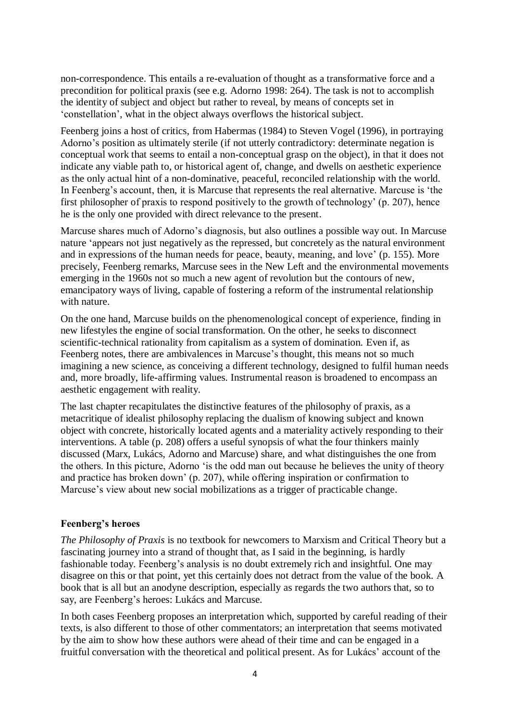non-correspondence. This entails a re-evaluation of thought as a transformative force and a precondition for political praxis (see e.g. Adorno 1998: 264). The task is not to accomplish the identity of subject and object but rather to reveal, by means of concepts set in 'constellation', what in the object always overflows the historical subject.

Feenberg joins a host of critics, from Habermas (1984) to Steven Vogel (1996), in portraying Adorno's position as ultimately sterile (if not utterly contradictory: determinate negation is conceptual work that seems to entail a non-conceptual grasp on the object), in that it does not indicate any viable path to, or historical agent of, change, and dwells on aesthetic experience as the only actual hint of a non-dominative, peaceful, reconciled relationship with the world. In Feenberg's account, then, it is Marcuse that represents the real alternative. Marcuse is 'the first philosopher of praxis to respond positively to the growth of technology' (p. 207), hence he is the only one provided with direct relevance to the present.

Marcuse shares much of Adorno's diagnosis, but also outlines a possible way out. In Marcuse nature 'appears not just negatively as the repressed, but concretely as the natural environment and in expressions of the human needs for peace, beauty, meaning, and love' (p. 155). More precisely, Feenberg remarks, Marcuse sees in the New Left and the environmental movements emerging in the 1960s not so much a new agent of revolution but the contours of new, emancipatory ways of living, capable of fostering a reform of the instrumental relationship with nature.

On the one hand, Marcuse builds on the phenomenological concept of experience, finding in new lifestyles the engine of social transformation. On the other, he seeks to disconnect scientific-technical rationality from capitalism as a system of domination. Even if, as Feenberg notes, there are ambivalences in Marcuse's thought, this means not so much imagining a new science, as conceiving a different technology, designed to fulfil human needs and, more broadly, life-affirming values. Instrumental reason is broadened to encompass an aesthetic engagement with reality.

The last chapter recapitulates the distinctive features of the philosophy of praxis, as a metacritique of idealist philosophy replacing the dualism of knowing subject and known object with concrete, historically located agents and a materiality actively responding to their interventions. A table (p. 208) offers a useful synopsis of what the four thinkers mainly discussed (Marx, Lukács, Adorno and Marcuse) share, and what distinguishes the one from the others. In this picture, Adorno 'is the odd man out because he believes the unity of theory and practice has broken down' (p. 207), while offering inspiration or confirmation to Marcuse's view about new social mobilizations as a trigger of practicable change.

#### **Feenberg's heroes**

*The Philosophy of Praxis* is no textbook for newcomers to Marxism and Critical Theory but a fascinating journey into a strand of thought that, as I said in the beginning, is hardly fashionable today. Feenberg's analysis is no doubt extremely rich and insightful. One may disagree on this or that point, yet this certainly does not detract from the value of the book. A book that is all but an anodyne description, especially as regards the two authors that, so to say, are Feenberg's heroes: Lukács and Marcuse.

In both cases Feenberg proposes an interpretation which, supported by careful reading of their texts, is also different to those of other commentators; an interpretation that seems motivated by the aim to show how these authors were ahead of their time and can be engaged in a fruitful conversation with the theoretical and political present. As for Lukács' account of the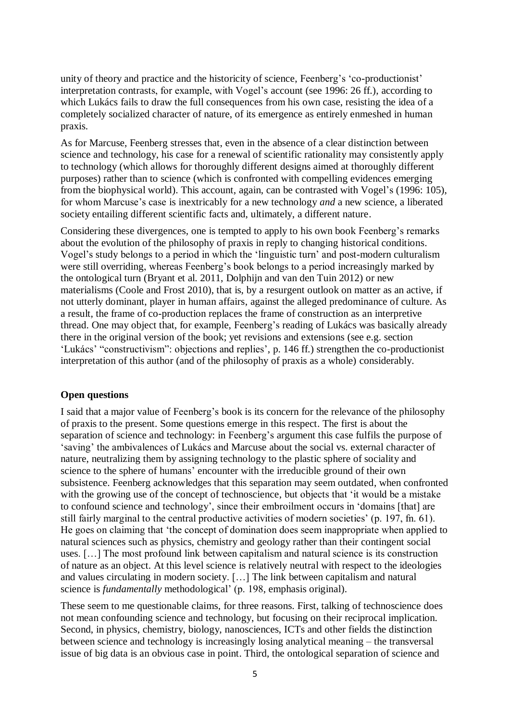unity of theory and practice and the historicity of science, Feenberg's 'co-productionist' interpretation contrasts, for example, with Vogel's account (see 1996: 26 ff.), according to which Lukács fails to draw the full consequences from his own case, resisting the idea of a completely socialized character of nature, of its emergence as entirely enmeshed in human praxis.

As for Marcuse, Feenberg stresses that, even in the absence of a clear distinction between science and technology, his case for a renewal of scientific rationality may consistently apply to technology (which allows for thoroughly different designs aimed at thoroughly different purposes) rather than to science (which is confronted with compelling evidences emerging from the biophysical world). This account, again, can be contrasted with Vogel's (1996: 105), for whom Marcuse's case is inextricably for a new technology *and* a new science, a liberated society entailing different scientific facts and, ultimately, a different nature.

Considering these divergences, one is tempted to apply to his own book Feenberg's remarks about the evolution of the philosophy of praxis in reply to changing historical conditions. Vogel's study belongs to a period in which the 'linguistic turn' and post-modern culturalism were still overriding, whereas Feenberg's book belongs to a period increasingly marked by the ontological turn (Bryant et al. 2011, Dolphijn and van den Tuin 2012) or new materialisms (Coole and Frost 2010), that is, by a resurgent outlook on matter as an active, if not utterly dominant, player in human affairs, against the alleged predominance of culture. As a result, the frame of co-production replaces the frame of construction as an interpretive thread. One may object that, for example, Feenberg's reading of Lukács was basically already there in the original version of the book; yet revisions and extensions (see e.g. section 'Lukács' "constructivism": objections and replies', p. 146 ff.) strengthen the co-productionist interpretation of this author (and of the philosophy of praxis as a whole) considerably.

#### **Open questions**

I said that a major value of Feenberg's book is its concern for the relevance of the philosophy of praxis to the present. Some questions emerge in this respect. The first is about the separation of science and technology: in Feenberg's argument this case fulfils the purpose of 'saving' the ambivalences of Lukács and Marcuse about the social vs. external character of nature, neutralizing them by assigning technology to the plastic sphere of sociality and science to the sphere of humans' encounter with the irreducible ground of their own subsistence. Feenberg acknowledges that this separation may seem outdated, when confronted with the growing use of the concept of technoscience, but objects that 'it would be a mistake to confound science and technology', since their embroilment occurs in 'domains [that] are still fairly marginal to the central productive activities of modern societies' (p. 197, fn. 61). He goes on claiming that 'the concept of domination does seem inappropriate when applied to natural sciences such as physics, chemistry and geology rather than their contingent social uses. […] The most profound link between capitalism and natural science is its construction of nature as an object. At this level science is relatively neutral with respect to the ideologies and values circulating in modern society. […] The link between capitalism and natural science is *fundamentally* methodological' (p. 198, emphasis original).

These seem to me questionable claims, for three reasons. First, talking of technoscience does not mean confounding science and technology, but focusing on their reciprocal implication. Second, in physics, chemistry, biology, nanosciences, ICTs and other fields the distinction between science and technology is increasingly losing analytical meaning – the transversal issue of big data is an obvious case in point. Third, the ontological separation of science and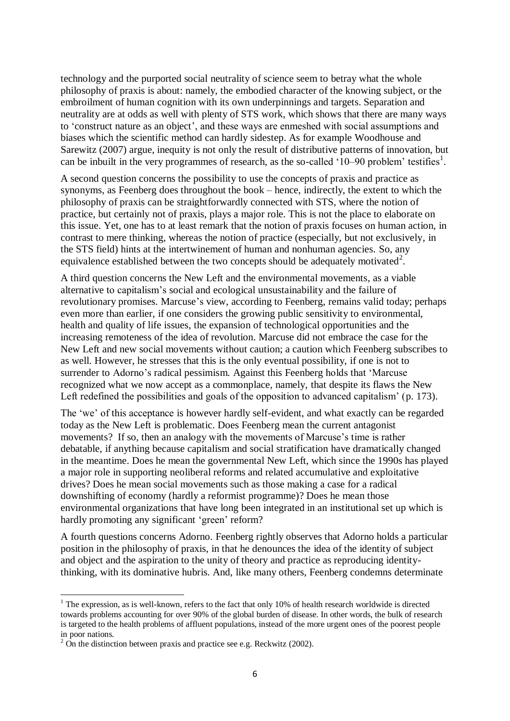technology and the purported social neutrality of science seem to betray what the whole philosophy of praxis is about: namely, the embodied character of the knowing subject, or the embroilment of human cognition with its own underpinnings and targets. Separation and neutrality are at odds as well with plenty of STS work, which shows that there are many ways to 'construct nature as an object', and these ways are enmeshed with social assumptions and biases which the scientific method can hardly sidestep. As for example Woodhouse and Sarewitz (2007) argue, inequity is not only the result of distributive patterns of innovation, but can be inbuilt in the very programmes of research, as the so-called  $10-90$  problem' testifies<sup>1</sup>.

A second question concerns the possibility to use the concepts of praxis and practice as synonyms, as Feenberg does throughout the book – hence, indirectly, the extent to which the philosophy of praxis can be straightforwardly connected with STS, where the notion of practice, but certainly not of praxis, plays a major role. This is not the place to elaborate on this issue. Yet, one has to at least remark that the notion of praxis focuses on human action, in contrast to mere thinking, whereas the notion of practice (especially, but not exclusively, in the STS field) hints at the intertwinement of human and nonhuman agencies. So, any equivalence established between the two concepts should be adequately motivated<sup>2</sup>.

A third question concerns the New Left and the environmental movements, as a viable alternative to capitalism's social and ecological unsustainability and the failure of revolutionary promises. Marcuse's view, according to Feenberg, remains valid today; perhaps even more than earlier, if one considers the growing public sensitivity to environmental, health and quality of life issues, the expansion of technological opportunities and the increasing remoteness of the idea of revolution. Marcuse did not embrace the case for the New Left and new social movements without caution; a caution which Feenberg subscribes to as well. However, he stresses that this is the only eventual possibility, if one is not to surrender to Adorno's radical pessimism. Against this Feenberg holds that 'Marcuse recognized what we now accept as a commonplace, namely, that despite its flaws the New Left redefined the possibilities and goals of the opposition to advanced capitalism' (p. 173).

The 'we' of this acceptance is however hardly self-evident, and what exactly can be regarded today as the New Left is problematic. Does Feenberg mean the current antagonist movements? If so, then an analogy with the movements of Marcuse's time is rather debatable, if anything because capitalism and social stratification have dramatically changed in the meantime. Does he mean the governmental New Left, which since the 1990s has played a major role in supporting neoliberal reforms and related accumulative and exploitative drives? Does he mean social movements such as those making a case for a radical downshifting of economy (hardly a reformist programme)? Does he mean those environmental organizations that have long been integrated in an institutional set up which is hardly promoting any significant 'green' reform?

A fourth questions concerns Adorno. Feenberg rightly observes that Adorno holds a particular position in the philosophy of praxis, in that he denounces the idea of the identity of subject and object and the aspiration to the unity of theory and practice as reproducing identitythinking, with its dominative hubris. And, like many others, Feenberg condemns determinate

1

 $1$  The expression, as is well-known, refers to the fact that only 10% of health research worldwide is directed towards problems accounting for over 90% of the global burden of disease. In other words, the bulk of research is targeted to the health problems of affluent populations, instead of the more urgent ones of the poorest people in poor nations.

 $2 \text{ On}$  the distinction between praxis and practice see e.g. Reckwitz (2002).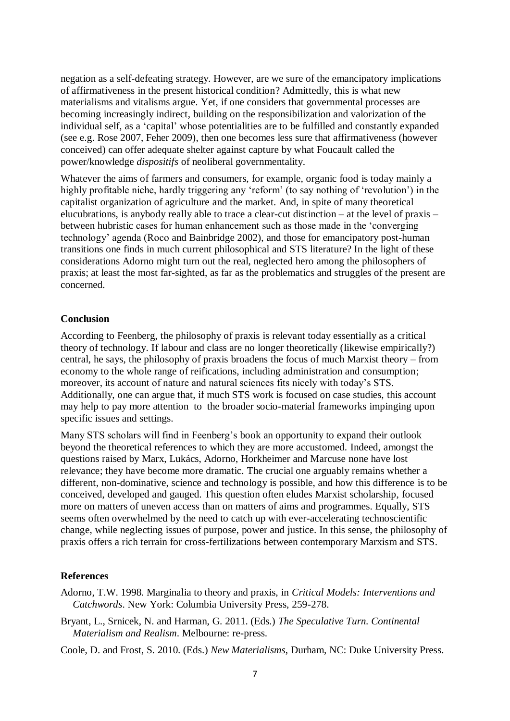negation as a self-defeating strategy. However, are we sure of the emancipatory implications of affirmativeness in the present historical condition? Admittedly, this is what new materialisms and vitalisms argue. Yet, if one considers that governmental processes are becoming increasingly indirect, building on the responsibilization and valorization of the individual self, as a 'capital' whose potentialities are to be fulfilled and constantly expanded (see e.g. Rose 2007, Feher 2009), then one becomes less sure that affirmativeness (however conceived) can offer adequate shelter against capture by what Foucault called the power/knowledge *dispositifs* of neoliberal governmentality.

Whatever the aims of farmers and consumers, for example, organic food is today mainly a highly profitable niche, hardly triggering any 'reform' (to say nothing of 'revolution') in the capitalist organization of agriculture and the market. And, in spite of many theoretical elucubrations, is anybody really able to trace a clear-cut distinction – at the level of praxis – between hubristic cases for human enhancement such as those made in the 'converging technology' agenda (Roco and Bainbridge 2002), and those for emancipatory post-human transitions one finds in much current philosophical and STS literature? In the light of these considerations Adorno might turn out the real, neglected hero among the philosophers of praxis; at least the most far-sighted, as far as the problematics and struggles of the present are concerned.

## **Conclusion**

According to Feenberg, the philosophy of praxis is relevant today essentially as a critical theory of technology. If labour and class are no longer theoretically (likewise empirically?) central, he says, the philosophy of praxis broadens the focus of much Marxist theory – from economy to the whole range of reifications, including administration and consumption; moreover, its account of nature and natural sciences fits nicely with today's STS. Additionally, one can argue that, if much STS work is focused on case studies, this account may help to pay more attention to the broader socio-material frameworks impinging upon specific issues and settings.

Many STS scholars will find in Feenberg's book an opportunity to expand their outlook beyond the theoretical references to which they are more accustomed. Indeed, amongst the questions raised by Marx, Lukács, Adorno, Horkheimer and Marcuse none have lost relevance; they have become more dramatic. The crucial one arguably remains whether a different, non-dominative, science and technology is possible, and how this difference is to be conceived, developed and gauged. This question often eludes Marxist scholarship, focused more on matters of uneven access than on matters of aims and programmes. Equally, STS seems often overwhelmed by the need to catch up with ever-accelerating technoscientific change, while neglecting issues of purpose, power and justice. In this sense, the philosophy of praxis offers a rich terrain for cross-fertilizations between contemporary Marxism and STS.

#### **References**

- Adorno, T.W. 1998. Marginalia to theory and praxis, in *Critical Models: Interventions and Catchwords*. New York: Columbia University Press, 259-278.
- Bryant, L., Srnicek, N. and Harman, G. 2011. (Eds.) *The Speculative Turn. Continental Materialism and Realism*. Melbourne: re-press.
- Coole, D. and Frost, S. 2010. (Eds.) *New Materialisms*, Durham, NC: Duke University Press.